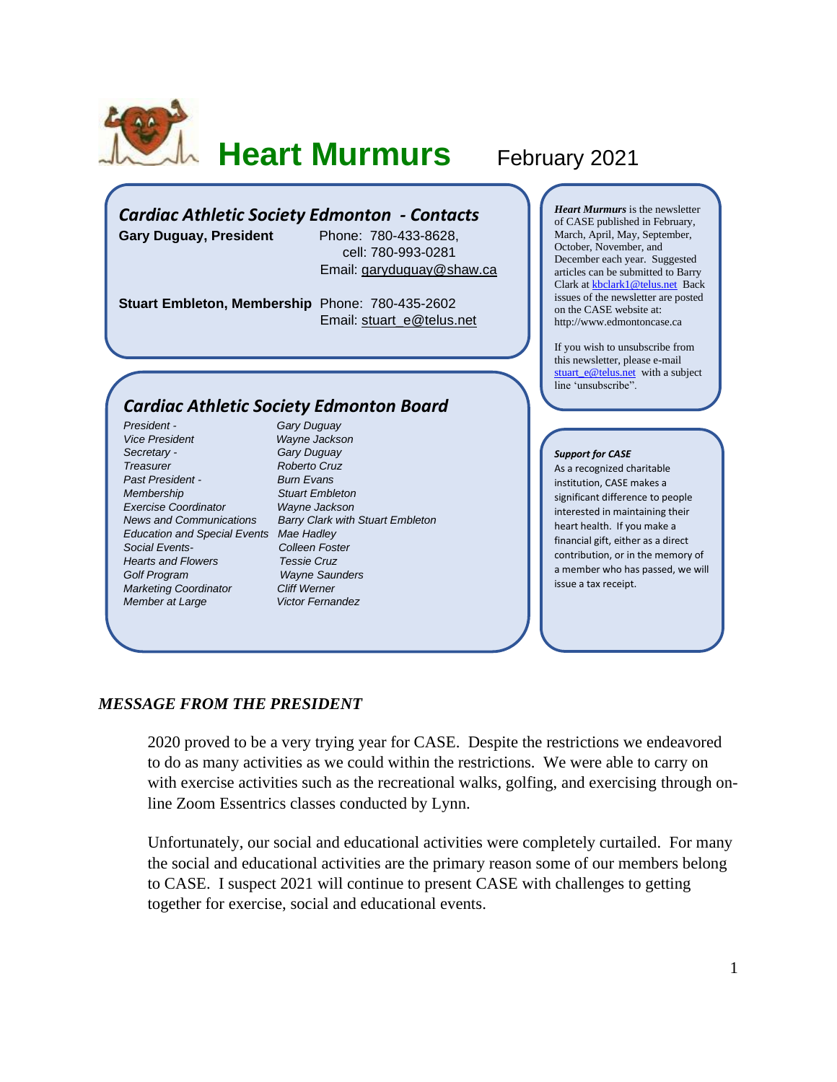

# **Heart Murmurs** February 2021

## *Cardiac Athletic Society Edmonton - Contacts*

**Gary Duguay, President** Phone: 780-433-8628, cell: 780-993-0281 Email: [garyduguay@shaw.ca](mailto:garyduguay@shaw.ca)

**Stuart Embleton, Membership** Phone: 780-435-2602 Email: [stuart\\_e@telus.net](mailto:stuart_e@telus.net)

### *Cardiac Athletic Society Edmonton Board*

*President - Gary Duguay Vice President Wayne Jackson Secretary - Gary Duguay Treasurer Roberto Cruz Past President - Burn Evans Membership Stuart Embleton Exercise Coordinator Wayne Jackson Education and Special Events Mae Hadley Social Events- Colleen Foster Hearts and Flowers Golf Program Wayne Saunders Marketing Coordinator Cliff Werner Member at Large* **Victor Fernandez** 

*News and Communications Barry Clark with Stuart Embleton*

*Heart Murmurs* is the newsletter of CASE published in February, March, April, May, September, October, November, and December each year. Suggested articles can be submitted to Barry Clark a[t kbclark1@telus.net](mailto:kbclark1@telus.net) Back issues of the newsletter are posted on the CASE website at: [http://www.edmontoncase.ca](http://www.edmontoncase.ca/)

If you wish to unsubscribe from this newsletter, please e-mail [stuart\\_e@telus.net](mailto:stuart_e@telus.net) with a subject line 'unsubscribe".

#### *Support for CASE*

As a recognized charitable institution, CASE makes a significant difference to people interested in maintaining their heart health. If you make a financial gift, either as a direct contribution, or in the memory of a member who has passed, we will issue a tax receipt.

### *MESSAGE FROM THE PRESIDENT*

2020 proved to be a very trying year for CASE. Despite the restrictions we endeavored to do as many activities as we could within the restrictions. We were able to carry on with exercise activities such as the recreational walks, golfing, and exercising through online Zoom Essentrics classes conducted by Lynn.

Unfortunately, our social and educational activities were completely curtailed. For many the social and educational activities are the primary reason some of our members belong to CASE. I suspect 2021 will continue to present CASE with challenges to getting together for exercise, social and educational events.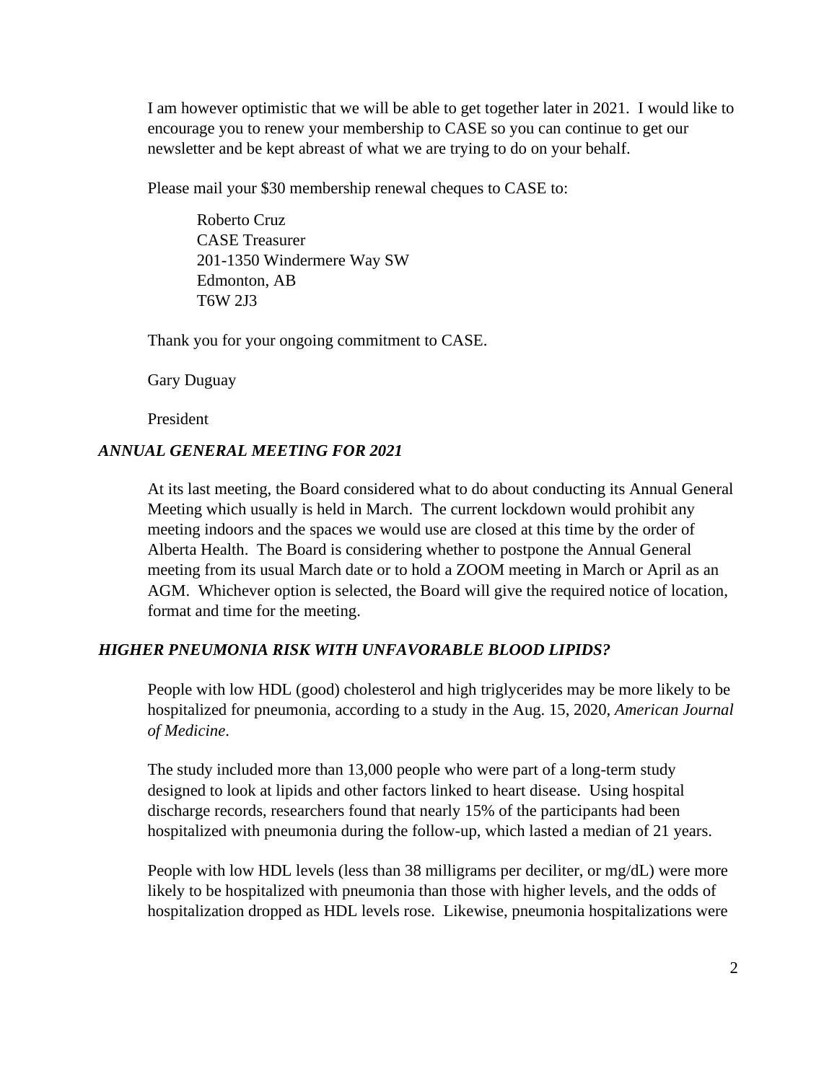I am however optimistic that we will be able to get together later in 2021. I would like to encourage you to renew your membership to CASE so you can continue to get our newsletter and be kept abreast of what we are trying to do on your behalf.

Please mail your \$30 membership renewal cheques to CASE to:

Roberto Cruz CASE Treasurer 201-1350 Windermere Way SW Edmonton, AB T6W 2J3

Thank you for your ongoing commitment to CASE.

Gary Duguay

President

### *ANNUAL GENERAL MEETING FOR 2021*

At its last meeting, the Board considered what to do about conducting its Annual General Meeting which usually is held in March. The current lockdown would prohibit any meeting indoors and the spaces we would use are closed at this time by the order of Alberta Health. The Board is considering whether to postpone the Annual General meeting from its usual March date or to hold a ZOOM meeting in March or April as an AGM. Whichever option is selected, the Board will give the required notice of location, format and time for the meeting.

### *HIGHER PNEUMONIA RISK WITH UNFAVORABLE BLOOD LIPIDS?*

People with low HDL (good) cholesterol and high triglycerides may be more likely to be hospitalized for pneumonia, according to a study in the Aug. 15, 2020, *American Journal of Medicine*.

The study included more than 13,000 people who were part of a long-term study designed to look at lipids and other factors linked to heart disease. Using hospital discharge records, researchers found that nearly 15% of the participants had been hospitalized with pneumonia during the follow-up, which lasted a median of 21 years.

People with low HDL levels (less than 38 milligrams per deciliter, or mg/dL) were more likely to be hospitalized with pneumonia than those with higher levels, and the odds of hospitalization dropped as HDL levels rose. Likewise, pneumonia hospitalizations were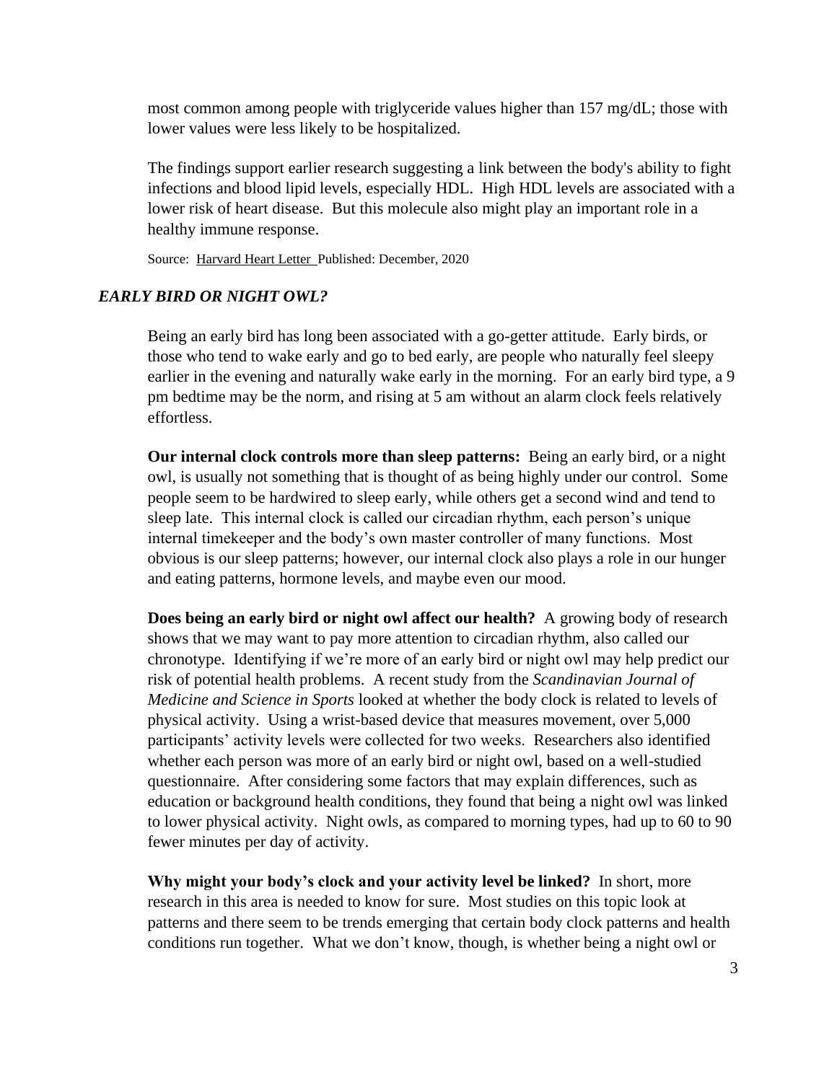most common among people with triglyceride values higher than 157 mg/dL; those with lower values were less likely to be hospitalized.

The findings support earlier research suggesting a link between the body's ability to fight infections and blood lipid levels, especially HDL. High HDL levels are associated with a lower risk of heart disease. But this molecule also might play an important role in a healthy immune response.

Source: [Harvard Heart Letter](https://www.health.harvard.edu/newsletters/harvard_heart_letter/2020/december) Published: December, 2020

### *EARLY BIRD OR NIGHT OWL?*

Being an early bird has long been associated with a go-getter attitude. Early birds, or those who tend to wake early and go to bed early, are people who naturally feel sleepy earlier in the evening and naturally wake early in the morning. For an early bird type, a 9 pm bedtime may be the norm, and rising at 5 am without an alarm clock feels relatively effortless.

**Our internal clock controls more than sleep patterns:** Being an early bird, or a night owl, is usually not something that is thought of as being highly under our control. Some people seem to be hardwired to sleep early, while others get a second wind and tend to sleep late. This internal clock is called our circadian rhythm, each person's unique internal timekeeper and the body's own master controller of many functions. Most obvious is our sleep patterns; however, our internal clock also plays a role in our hunger and eating patterns, hormone levels, and maybe even our mood.

**Does being an early bird or night owl affect our health?** A growing body of research shows that we may want to pay more attention to circadian rhythm, also called our chronotype. [Identifying if we're more of an early bird or night owl](http://www.sleephealthfoundation.org.au/pdfs/World%20Sleep%20Day/Activity%20-%20Morning-Eveningness%20Questionnaire.pdf) may help predict our risk of potential health problems. A [recent study](https://onlinelibrary.wiley.com/doi/10.1111/sms.13753) from the *Scandinavian Journal of Medicine and Science in Sports* looked at whether the body clock is related to levels of physical activity. Using a [wrist-based device that measures movement,](https://www.health.harvard.edu/blog/wearables-and-sleep-what-they-can-really-tell-us-2019122018488) over 5,000 participants' activity levels were collected for two weeks. Researchers also identified whether each person was more of an early bird or night owl, based on a well-studied questionnaire. After considering some factors that may explain differences, such as education or background health conditions, they found that being a night owl was linked to lower physical activity. Night owls, as compared to morning types, had up to 60 to 90 fewer minutes per day of activity.

**Why might your body's clock and your activity level be linked?** In short, more research in this area is needed to know for sure. Most studies on this topic look at patterns and there seem to be trends emerging that certain body clock patterns and health conditions run together. What we don't know, though, is whether being a night owl or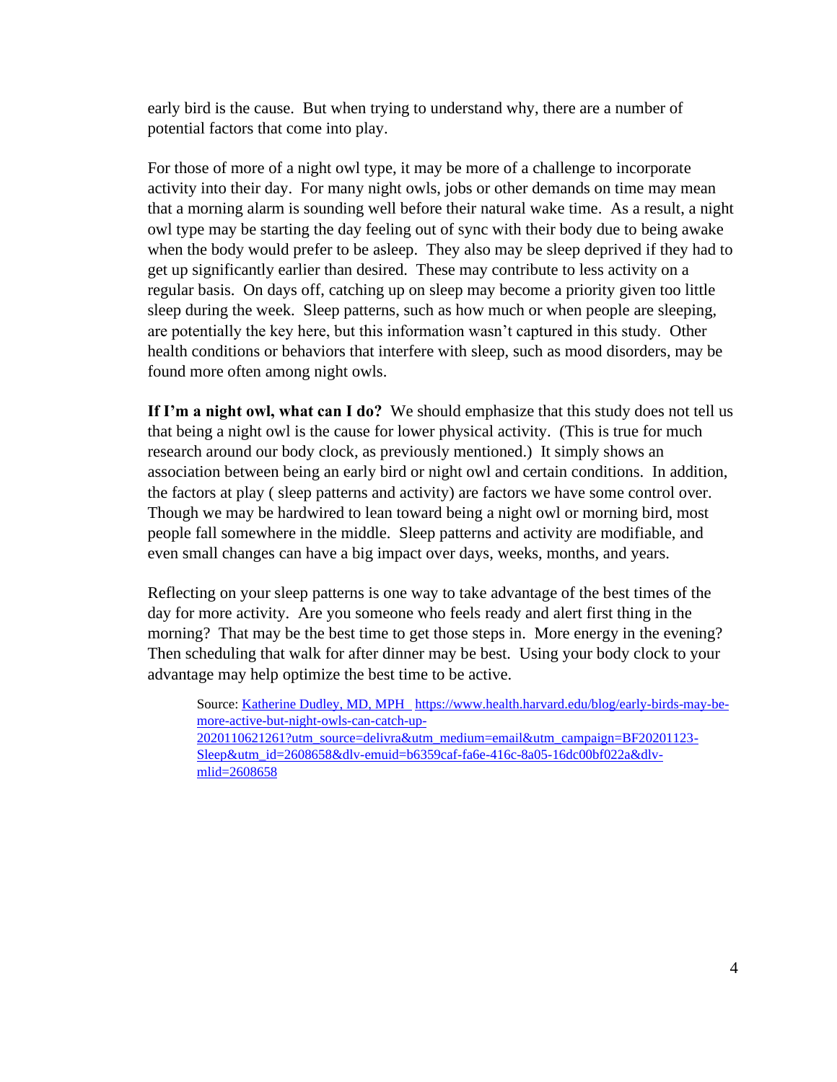early bird is the cause. But when trying to understand why, there are a number of potential factors that come into play.

For those of more of a night owl type, it may be more of a challenge to incorporate activity into their day. For many night owls, jobs or other demands on time may mean that a morning alarm is sounding well before their natural wake time. As a result, a night owl type may be starting the day feeling out of sync with their body due to being awake when the body would prefer to be asleep. They also may be sleep deprived if they had to get up significantly earlier than desired. These may contribute to less activity on a regular basis. On days off, catching up on sleep may become a priority [given too little](https://www.health.harvard.edu/blog/weekend-catch-up-sleep-wont-fix-the-effects-of-sleep-deprivation-on-your-waistline-2019092417861)  [sleep during the week.](https://www.health.harvard.edu/blog/weekend-catch-up-sleep-wont-fix-the-effects-of-sleep-deprivation-on-your-waistline-2019092417861) Sleep patterns, such as how much or when people are sleeping, are potentially the key here, but this information wasn't captured in this study. Other health conditions or behaviors that interfere with sleep, such as mood disorders, may be found more often among night owls.

**If I'm a night owl, what can I do?** We should emphasize that this study does not tell us that being a night owl is the cause for lower physical activity. (This is true for much research around our body clock, as previously mentioned.) It simply shows an association between being an early bird or night owl and certain conditions. In addition, the factors at play ( sleep patterns and activity) are factors we have some control over. Though we may be hardwired to lean toward being a night owl or morning bird, most people fall somewhere in the middle. Sleep patterns and activity are modifiable, and even small changes can have a big impact over days, weeks, months, and years.

Reflecting on your sleep patterns is one way to take advantage of the best times of the day for more activity. Are you someone who feels ready and alert first thing in the morning? That may be the best time to get those steps in. More energy in the evening? Then scheduling that walk for after dinner may be best. Using your body clock to your advantage may help optimize the best time to be active.

Source: [Katherine Dudley, MD, MPH](https://www.health.harvard.edu/blog/author/kdudley) [https://www.health.harvard.edu/blog/early-birds-may-be](https://www.health.harvard.edu/blog/early-birds-may-be-more-active-but-night-owls-can-catch-up-2020110621261?utm_source=delivra&utm_medium=email&utm_campaign=BF20201123-Sleep&utm_id=2608658&dlv-emuid=b6359caf-fa6e-416c-8a05-16dc00bf022a&dlv-mlid=2608658)[more-active-but-night-owls-can-catch-up-](https://www.health.harvard.edu/blog/early-birds-may-be-more-active-but-night-owls-can-catch-up-2020110621261?utm_source=delivra&utm_medium=email&utm_campaign=BF20201123-Sleep&utm_id=2608658&dlv-emuid=b6359caf-fa6e-416c-8a05-16dc00bf022a&dlv-mlid=2608658)[2020110621261?utm\\_source=delivra&utm\\_medium=email&utm\\_campaign=BF20201123-](https://www.health.harvard.edu/blog/early-birds-may-be-more-active-but-night-owls-can-catch-up-2020110621261?utm_source=delivra&utm_medium=email&utm_campaign=BF20201123-Sleep&utm_id=2608658&dlv-emuid=b6359caf-fa6e-416c-8a05-16dc00bf022a&dlv-mlid=2608658) [Sleep&utm\\_id=2608658&dlv-emuid=b6359caf-fa6e-416c-8a05-16dc00bf022a&dlv](https://www.health.harvard.edu/blog/early-birds-may-be-more-active-but-night-owls-can-catch-up-2020110621261?utm_source=delivra&utm_medium=email&utm_campaign=BF20201123-Sleep&utm_id=2608658&dlv-emuid=b6359caf-fa6e-416c-8a05-16dc00bf022a&dlv-mlid=2608658)[mlid=2608658](https://www.health.harvard.edu/blog/early-birds-may-be-more-active-but-night-owls-can-catch-up-2020110621261?utm_source=delivra&utm_medium=email&utm_campaign=BF20201123-Sleep&utm_id=2608658&dlv-emuid=b6359caf-fa6e-416c-8a05-16dc00bf022a&dlv-mlid=2608658)